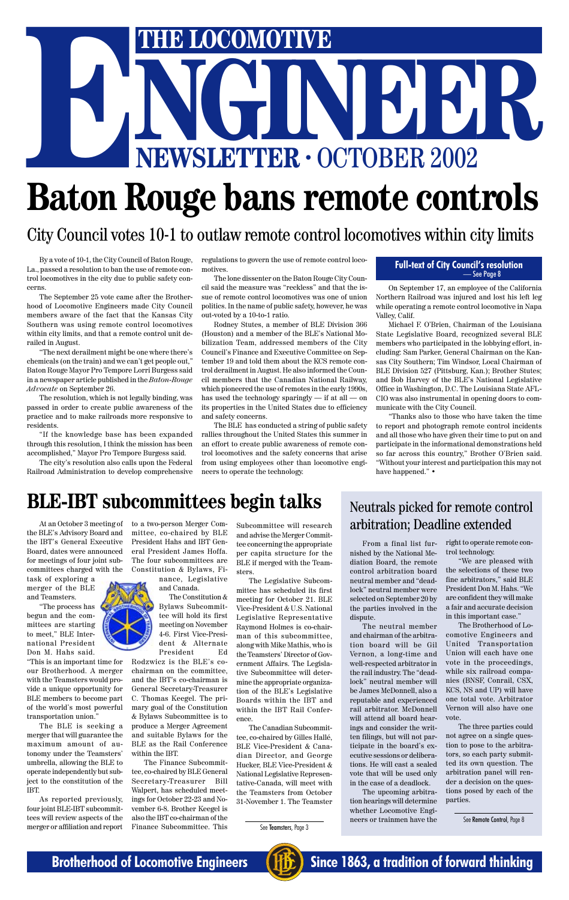By a vote of 10-1, the City Council of Baton Rouge, La., passed a resolution to ban the use of remote control locomotives in the city due to public safety concerns.

The September 25 vote came after the Brotherhood of Locomotive Engineers made City Council members aware of the fact that the Kansas City Southern was using remote control locomotives within city limits, and that a remote control unit derailed in August.

"The next derailment might be one where there's chemicals (on the train) and we can't get people out," Baton Rouge Mayor Pro Tempore Lorri Burgess said in a newspaper article published in the *Baton-Rouge Advocate* on September 26.

The resolution, which is not legally binding, was passed in order to create public awareness of the practice and to make railroads more responsive to residents.

"If the knowledge base has been expanded through this resolution, I think the mission has been accomplished," Mayor Pro Tempore Burgess said.

The city's resolution also calls upon the Federal Railroad Administration to develop comprehensive regulations to govern the use of remote control locomotives.

The lone dissenter on the Baton Rouge City Council said the measure was "reckless" and that the issue of remote control locomotives was one of union politics. In the name of public safety, however, he was out-voted by a 10-to-1 ratio.

> "Thanks also to those who have taken the time to report and photograph remote control incidents and all those who have given their time to put on and participate in the informational demonstrations held so far across this country," Brother O'Brien said. "Without your interest and participation this may not have happened." •

## **BLE-IBT subcommittees begin talks** Neutrals picked for remote control

Rodney Stutes, a member of BLE Division 366 (Houston) and a member of the BLE's National Mobilization Team, addressed members of the City Council's Finance and Executive Committee on September 19 and told them about the KCS remote control derailment in August. He also informed the Council members that the Canadian National Railway, which pioneered the use of remotes in the early 1990s, has used the technology sparingly — if at all — on its properties in the United States due to efficiency and safety concerns.

The BLE has conducted a string of public safety rallies throughout the United States this summer in an effort to create public awareness of remote control locomotives and the safety concerns that arise from using employees other than locomotive engineers to operate the technology.

On September 17, an employee of the California Northern Railroad was injured and lost his left leg while operating a remote control locomotive in Napa Valley, Calif.

Michael F. O'Brien, Chairman of the Louisiana State Legislative Board, recognized several BLE members who participated in the lobbying effort, including: Sam Parker, General Chairman on the Kansas City Southern; Tim Windsor, Local Chairman of BLE Division 527 (Pittsburg, Kan.); Brother Stutes; and Bob Harvey of the BLE's National Legislative Office in Washington, D.C. The Louisiana State AFL-CIO was also instrumental in opening doors to communicate with the City Council.

# THE LOCOMOTIVE<br>NEWSLETTER · OCTOBER 2002 **ENEXAGE AND REWSLETTER · OCTOBER 2002**<br> **EXAMPLE AND REWSLETTER · OCTOBER 2002**

# **Baton Rouge bans remote controls**

City Council votes 10-1 to outlaw remote control locomotives within city limits

the BLE's Advisory Board and the IBT's General Executive Board, dates were announced for meetings of four joint subcommittees charged with the

task of exploring a merger of the BLE and Teamsters.

"The process has begun and the committees are starting to meet," BLE International President Don M. Hahs said.

"This is an important time for our Brotherhood. A merger with the Teamsters would provide a unique opportunity for BLE members to become part of the world's most powerful transportation union."

At an October 3 meeting of to a two-person Merger Committee, co-chaired by BLE President Hahs and IBT General President James Hoffa. The four subcommittees are Constitution & Bylaws, Fi-

The BLE is seeking a merger that will guarantee the maximum amount of autonomy under the Teamsters' umbrella, allowing the BLE to operate independently but subject to the constitution of the IBT.

As reported previously, four joint BLE-IBT subcommittees will review aspects of the merger or affiliation and report nance, Legislative and Canada.

The Constitution & Bylaws Subcommittee will hold its first meeting on November 4-6. First Vice-President & Alternate President Ed

Rodzwicz is the BLE's cochairman on the committee, and the IBT's co-chairman is General Secretary-Treasurer C. Thomas Keegel. The primary goal of the Constitution & Bylaws Subcommittee is to produce a Merger Agreement and suitable Bylaws for the BLE as the Rail Conference within the IBT. The Finance Subcommittee, co-chaired by BLE General Secretary-Treasurer Bill Walpert, has scheduled meetings for October 22-23 and November 6-8. Brother Keegel is also the IBT co-chairman of the Finance Subcommittee. This

Subcommittee will research and advise the Merger Committee concerning the appropriate per capita structure for the BLE if merged with the Teamsters.

The Legislative Subcommittee has scheduled its first meeting for October 21. BLE Vice-President & U.S. National Legislative Representative Raymond Holmes is co-chairman of this subcommittee, along with Mike Mathis, who is the Teamsters' Director of Government Affairs. The Legislative Subcommittee will determine the appropriate organization of the BLE's Legislative Boards within the IBT and within the IBT Rail Conference. The Canadian Subcommittee, co-chaired by Gilles Hallé, BLE Vice-President & Canadian Director, and George Hucker, BLE Vice-President & National Legislative Representative-Canada, will meet with the Teamsters from October 31-November 1. The Teamster

From a final list furnished by the National Mediation Board, the remote control arbitration board neutral member and "deadlock" neutral member were selected on September 20 by the parties involved in the dispute.

The neutral member and chairman of the arbitration board will be Gil Vernon, a long-time and well-respected arbitrator in the rail industry. The "deadlock" neutral member will be James McDonnell, also a reputable and experienced rail arbitrator. McDonnell will attend all board hearings and consider the written filings, but will not participate in the board's executive sessions or deliberations. He will cast a sealed vote that will be used only in the case of a deadlock. The upcoming arbitration hearings will determine whether Locomotive Engineers or trainmen have the right to operate remote control technology.

"We are pleased with the selections of these two fine arbitrators," said BLE President Don M. Hahs. "We are confident they will make a fair and accurate decision in this important case."

The Brotherhood of Locomotive Engineers and United Transportation Union will each have one vote in the proceedings, while six railroad companies (BNSF, Conrail, CSX, KCS, NS and UP) will have one total vote. Arbitrator Vernon will also have one vote. The three parties could not agree on a single question to pose to the arbitrators, so each party submitted its own question. The arbitration panel will render a decision on the questions posed by each of the parties.





# arbitration; Deadline extended

See Teamsters, Page 3

See Remote Control, Page 8



**Brotherhood of Locomotive Engineers (FEE)** Since 1863, a tradition of forward thinking

### **Full-text of City Council's resolution** — See Page 8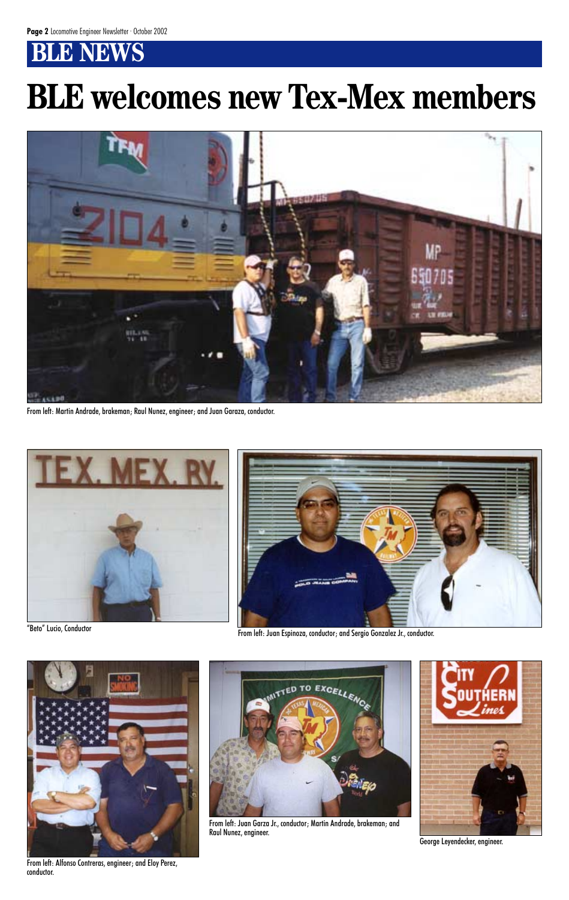# **BLE NEWS**



From left: Martin Andrade, brakeman; Raul Nunez, engineer; and Juan Garaza, conductor.





"Beto" Lucio, Conductor From left: Juan Espinoza, conductor; and Sergio Gonzalez Jr., conductor.



From left: Alfonso Contreras, engineer; and Eloy Perez, conductor.



From left: Juan Garza Jr., conductor; Martin Andrade, brakeman; and Raul Nunez, engineer.



George Leyendecker, engineer.

# **BLE welcomes new Tex-Mex members**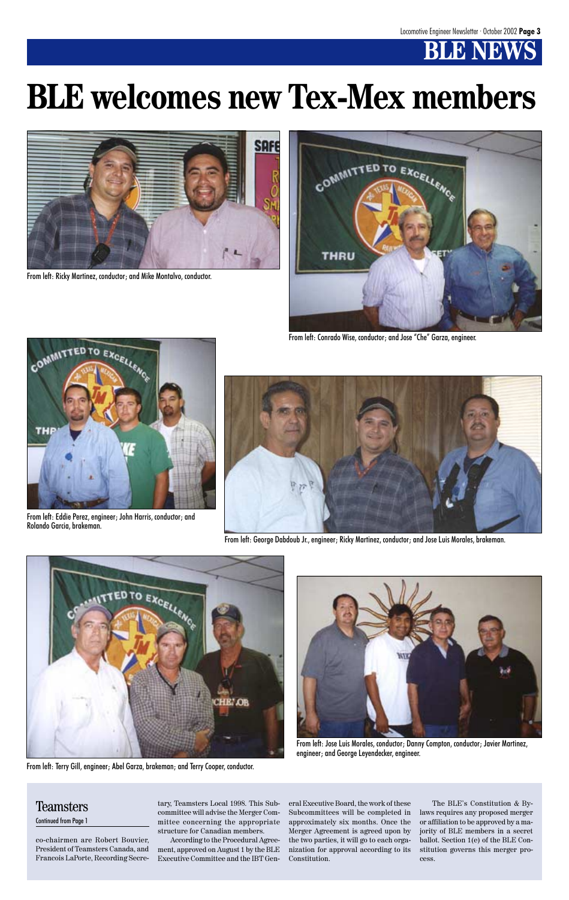



From left: Ricky Martinez, conductor; and Mike Montalvo, conductor.



From left: Conrado Wise, conductor; and Jose "Che" Garza, engineer.



From left: Eddie Perez, engineer; John Harris, conductor; and Rolando Garcia, brakeman.



From left: George Dabdoub Jr., engineer; Ricky Martinez, conductor; and Jose Luis Morales, brakeman.





From left: Terry Gill, engineer; Abel Garza, brakeman; and Terry Cooper, conductor.

From left: Jose Luis Morales, conductor; Danny Compton, conductor; Javier Martinez, engineer; and George Leyendecker, engineer.

# **BLE welcomes new Tex-Mex members**

co-chairmen are Robert Bouvier, President of Teamsters Canada, and Francois LaPorte, Recording Secretary, Teamsters Local 1998. This Subcommittee will advise the Merger Committee concerning the appropriate structure for Canadian members.

According to the Procedural Agreement, approved on August 1 by the BLE Executive Committee and the IBT General Executive Board, the work of these Subcommittees will be completed in approximately six months. Once the Merger Agreement is agreed upon by the two parties, it will go to each organization for approval according to its Constitution.

The BLE's Constitution & Bylaws requires any proposed merger or affiliation to be approved by a majority of BLE members in a secret ballot. Section 1(e) of the BLE Constitution governs this merger process.

### Teamsters Continued from Page 1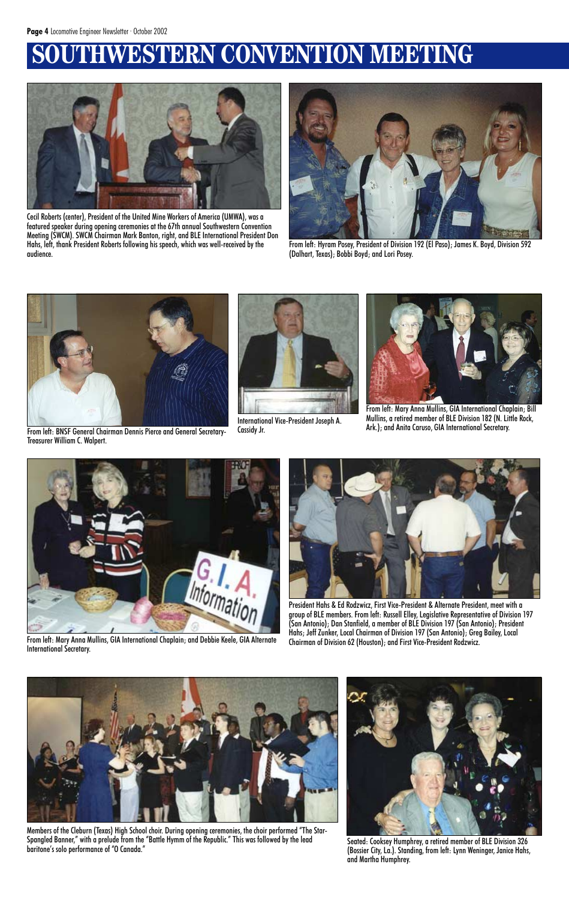# **WESTERN CONVENTION MEETING**



Cecil Roberts (center), President of the United Mine Workers of America (UMWA), was a featured speaker during opening ceremonies at the 67th annual Southwestern Convention Meeting (SWCM). SWCM Chairman Mark Banton, right, and BLE International President Don Hahs, left, thank President Roberts following his speech, which was well-received by the audience.



From left: Hyram Posey, President of Division 192 (El Paso); James K. Boyd, Division 592 (Dalhart, Texas); Bobbi Boyd; and Lori Posey.



From left: BNSF General Chairman Dennis Pierce and General Secretary-Treasurer William C. Walpert.



International Vice-President Joseph A. Cassidy Jr.



From left: Mary Anna Mullins, GIA International Chaplain; and Debbie Keele, GIA Alternate Chairman of Division 62 (Houston); and First Vice-President Rodzwicz. International Secretary.

Members of the Cleburn (Texas) High School choir. During opening ceremonies, the choir performed "The Star-Spangled Banner," with a prelude from the "Battle Hymm of the Republic." This was followed by the lead Seated: Cooksey Humphrey, a retired member of BLE Division 326<br>baritone's solo performance of "O Canada."



From left: Mary Anna Mullins, GIA International Chaplain; Bill Mullins, a retired member of BLE Division 182 (N. Little Rock, Ark.); and Anita Caruso, GIA International Secretary.



President Hahs & Ed Rodzwicz, First Vice-President & Alternate President, meet with a group of BLE members. From left: Russell Elley, Legislative Representative of Division 197 (San Antonio); Dan Stanfield, a member of BLE Division 197 (San Antonio); President Hahs; Jeff Zunker, Local Chairman of Division 197 (San Antonio); Greg Bailey, Local





(Bossier City, La.). Standing, from left: Lynn Weninger, Janice Hahs, and Martha Humphrey.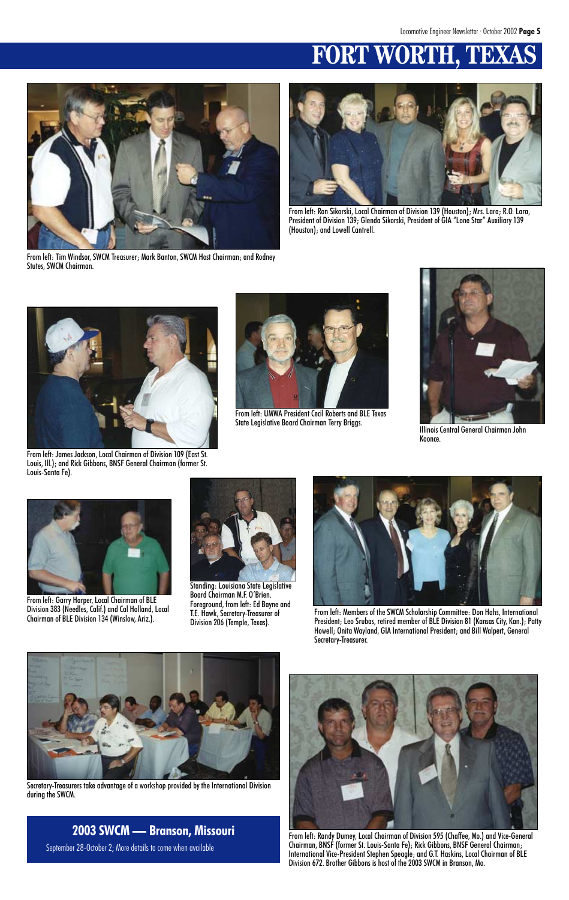# **FORT WORT**



From left: Tim Windsor, SWCM Treasurer; Mark Banton, SWCM Host Chairman; and Rodney Stutes, SWCM Chairman.



From left: UMWA President Cecil Roberts and BLE Texas State Legislative Board Chairman Terry Briggs. Illinois Central General Chairman John



From left: Ron Sikorski, Local Chairman of Division 139 (Houston); Mrs. Lara; R.O. Lara, President of Division 139; Glenda Sikorski, President of GIA "Lone Star" Auxiliary 139 (Houston); and Lowell Cantrell.



From left: James Jackson, Local Chairman of Division 109 (East St. Louis, Ill.); and Rick Gibbons, BNSF General Chairman (former St. Louis-Santa Fe).



Koonce.



From left: Garry Harper, Local Chairman of BLE Division 383 (Needles, Calif.) and Cal Holland, Local Chairman of BLE Division 134 (Winslow, Ariz.).



Standing: Louisiana State Legislative Board Chairman M.F. O'Brien. Foreground, from left: Ed Bayne and T.E. Hawk, Secretary-Treasurer of Division 206 (Temple, Texas).



From left: Members of the SWCM Scholarship Committee: Don Hahs, International President; Leo Srubas, retired member of BLE Division 81 (Kansas City, Kan.); Patty Howell; Onita Wayland, GIA International President; and Bill Walpert, General Secretary-Treasurer.



Secretary-Treasurers take advantage of a workshop provided by the International Division during the SWCM.



From left: Randy Dumey, Local Chairman of Division 595 (Chaffee, Mo.) and Vice-General Chairman, BNSF (former St. Louis-Santa Fe); Rick Gibbons, BNSF General Chairman; International Vice-President Stephen Speagle; and G.T. Haskins, Local Chairman of BLE Division 672. Brother Gibbons is host of the 2003 SWCM in Branson, Mo.

### **2003 SWCM — Branson, Missouri** September 28-October 2; More details to come when available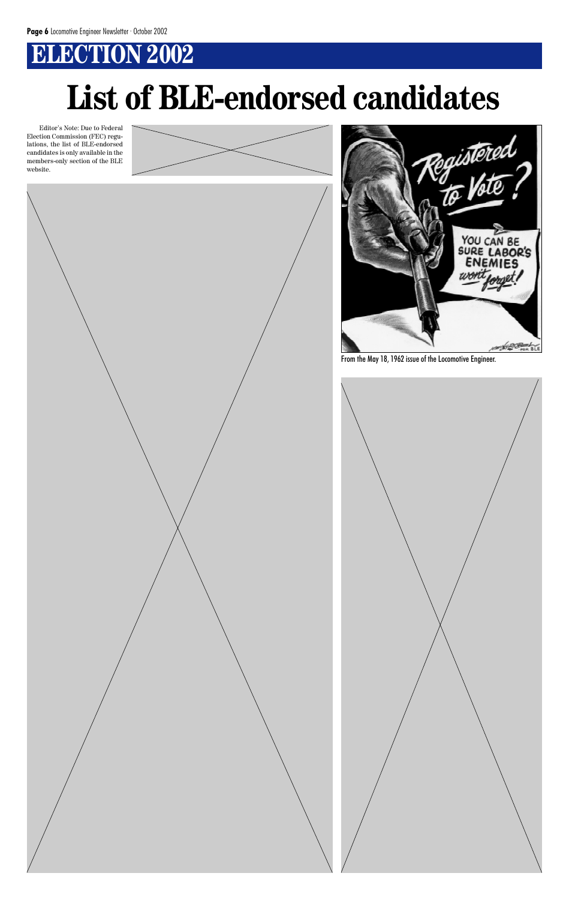# **ELECTION 2002**

Editor's Note: Due to Federal Election Commission (FEC) regulations, the list of BLE-endorsed candidates is only available in the

# **List of BLE-endorsed candidates**





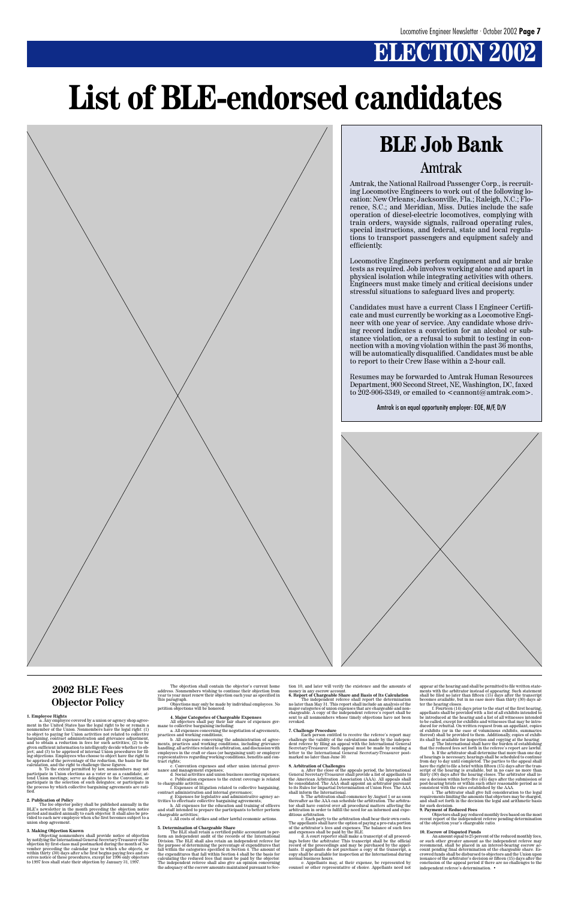# **ELECTION 2002**

### **2002 BLE Fees Objector Policy**

**1. Employee Rights** a. Any employee covered by a union or agency shop agree-ment in the United States has the legal right to be or remain a nonmember of the Union. Nonmembers have the legal right: (1) to object to paying for Union activities not related to collective bargaining, contract administration and grievance adjustment, and to obtain a reduction in fees for such activities; (2) to be given sufficient information to intelligently decide whether to ob-ject; and (3) to be apprised of internal Union procedures for fil-ing objections. Employees who choose to object have the right to be apprised of the percentage of the reduction, the basis for the calculation, and the right to challenge these figures. b. To the extent permitted by law, nonmembers may not participate in Union elections as a voter or as a candidate; at-tend Union meetings; serve as delegates to the Convention, or participate in the selection of such delegates; or participate in the process by which collective bargaining agreements are rati-fied.

**2. Publication of Policy**<br>
The fee objector policy shall be published annually in the<br>
BLE's newsletter in the month preceding the objection notice<br>
period and mailed annually to each objector. It shall also be pro-<br>
vid

3. Making Objection Known<br>
(bijection Conventions shall provide notice of objection<br>
by notifying the International General Secretary-Treasurer of the<br>
objection by first-class mail postmarked during the month of No-<br>
ove

b. All expenses concerning the administration of agreements, practices and working conditions, including grievance handling, all activities related to arbitration, and discussion with employees in the craft or class (or bargaining unit) or employer representatives regarding working conditions, benefits and contract rights;

The objection shall contain the objector's current home address. Nonmembers wishing to continue their objection from year to year must renew their objection each year as specified in this paragraph.

Objections may only be made by individual employees. No petition objections will be honored.

**4. Major Categories of Chargeable Expenses** All objectors shall pay their fair share of expenses ger-mane to collective bargaining including:

a. All expenses concerning the negotiation of agreements, practices and working conditions;

c. Convention expenses and other union internal gover-

d. A court reporter shall make a transcript of all proceed-ings before the arbitrator. This transcript shall be the official record of the proceedings and may be purchased by the appel-lants. If appellants do not purchase a copy of the transcript, a copy shall be available for inspection at the International during mal business hours.

nance and management expenses; d. Social activities and union business meeting expenses; e. Publication expenses to the extent coverage is related to chargeable activities;

f. Expenses of litigation related to collective bargaining, contract administration and internal governance; g. Expenses for legislative and administrative agency ac-

tivities to effectuate collective bargaining agreements; h. All expenses for the education and training of officers and staff intended to prepare the participants to better perform

chargeable activities; i. All costs of strikes and other lawful economic actions.

### **5. Determination of Chargeable Share**

f. Fourteen (14) days prior to the start of the first hearing,<br>appellants shall be provided with a list of all exhibits intended to<br>be introduced at the hearing and a list of all witnesses intended<br>to be called, except for duced for rebuttal. On written request from an appellant, copies of exhibits (or in the case of voluminous exhibits, summaries thereof) shall be provided to them. Additionally, copies of exhib-its shall be available for inspection and copying at the hearing. g. The International shall have the burden of establishing

The BLE shall retain a certified public accountant to per-form an independent audit of the records of the International Division. The BLE shall also retain an independent referee for the purpose of determining the percentage of expenditures that fall within the categories specified in Section 4. The amount of the expenditures that fall within Section 4 shall be the basis for calculating the reduced fees that must be paid by the objector. The independent referee shall also give an opinion concerning the adequacy of the escrow amounts maintained pursuant to Section 10, and later will verify the existence and the amounts of money in any escrow account. **6. Report of Chargeable Share and Basis of Its Calculation**

The independent referee shall report the determination no later than May 31. This report shall include an analysis of the major categories of union expenses that are chargeable and non-chargeable. A copy of the independent referee's report shall be sent to all nonmembers whose timely objections have not been revoked.

### **7. Challenge Procedure**

Each person entitled to receive the referee's report may challenge the validity of the calculations made by the indepen-dent referee by filing an appeal with the International General Secretary-Treasurer. Such appeal must be made by sending a letter to the International General Secretary-Treasurer postmarked no later than June 30.

8. Arbitration of Challenges<br>
particle and Challenges and the appeals period, the International<br>
General Secretary-Treasurer shall provide a list of appellants to<br>
the American Arbitration Association (AAA). All appeals sh To its Rules for Impartial Determination of Union Fees. The AAA shall inform the International.<br>
In The Shakimation of Union Fees. The AAA shall inform the International.

Resumes may be forwarded to Amtrak Human Resources Department, 900 Second Street, NE, Washington, DC, faxed to 202-906-3349, or emailed to  $\alpha$  amont@amtrak.com>.

shall inform the International. b. The arbitration shall commence by August 1 or as soon thereafter as the AAA can schedule the arbitration. The arbitrator shall have control over all procedural matters affecting the arbitration in order to fulfill the need for an informed and expe-

ditious arbitration. c. Each party to the arbitration shall bear their own costs. The appellants shall have the option of paying a pro-rata portion of the arbitrator's fees and expenses. The balance of such fees and expenses shall be paid by the BLE.

e. Appellants may, at their expense, be represented by counsel or other representative of choice. Appellants need not

appear at the hearing and shall be permitted to file written statements with the arbitrator instead of appearing. Such statement shall be filed no later than fifteen (15) days after the transcript becomes available, but in no case more than thirty (30) days after the hearing closes.

that the reduced fees set forth in the referee's report are lawful.

h. If the arbitrator shall determine that more than one day of hearings is necessary, hearings shall be scheduled to continue from day to day until completed. The parties to the appeal shall have the right to file a brief within fifteen (15) days after the transcript of the hearing is available, but in no case no more than thirty (30) days after the hearing closes. The arbitrator shall is-sue a decision within forty-five (45) days after the submission of post-hearing briefs or within such other reasonable period as is consistent with the rules established by the AAA.

i. The arbitrator shall give full consideration to the legal requirements limiting the amounts that objectors may be charged, and shall set forth in the decision the legal and arithmetic basis for such decision.

### **9. Payment of Reduced Fees**

Objectors shall pay reduced monthly fees based on the most recent report of the independent referee pending determination of the objection year's chargeable ratio.

### **10. Escrow of Disputed Funds**

An amount equal to 25 percent of the reduced monthly fees, or such other greater amount as the independent referee may recommend, shall be placed in an interest-bearing escrow account pending final determination of the chargeable share. Escrowed funds shall be disbursed to objectors and the Union upon issuance of the arbitrator's decision or fifteen (15) days after the conclusion of the appeal period if there are no challenges to the independent referee's determination. •

# **List of BLE-endorsed candidates**



Amtrak, the National Railroad Passenger Corp., is recruiting Locomotive Engineers to work out of the following location: New Orleans; Jacksonville, Fla.; Raleigh, N.C.; Florence, S.C.; and Meridian, Miss. Duties include the safe operation of diesel-electric locomotives, complying with train orders, wayside signals, railroad operating rules, special instructions, and federal, state and local regulations to transport passengers and equipment safely and efficiently.

Locomotive Engineers perform equipment and air brake tests as required. Job involves working alone and apart in physical isolation while integrating activities with others. Engineers must make timely and critical decisions under stressful situations to safeguard lives and property.

Candidates must have a current Class I Engineer Certificate and must currently be working as a Locomotive Engineer with one year of service. Any candidate whose driving record indicates a conviction for an alcohol or substance violation, or a refusal to submit to testing in connection with a moving violation within the past 36 months, will be automatically disqualified. Candidates must be able to report to their Crew Base within a 2-hour call.

Amtrak is an equal opportunity employer: EOE, M/F, D/V



# **BLE Job Bank**

### Amtrak